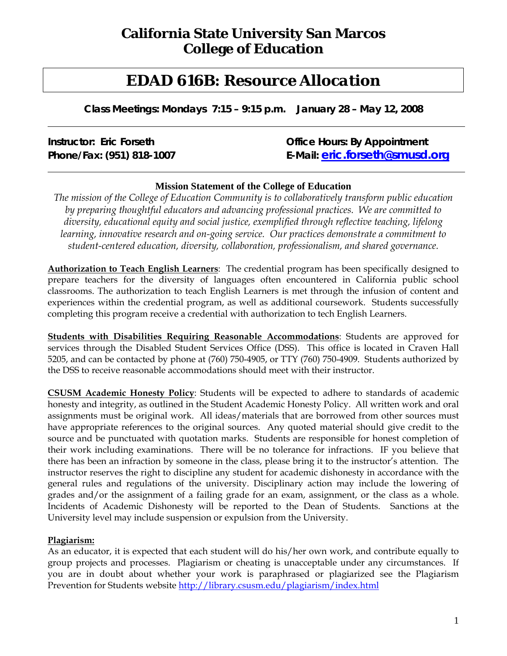# **California State University San Marcos College of Education**

# *EDAD 616B: Resource Allocation*

**Class Meetings: Mondays 7:15 – 9:15 p.m. January 28 – May 12, 2008** 

# **Instructor: Eric Forseth Constructor: Eric Forseth Constructor: By Appointment Phone/Fax: (951) 818-1007 E-Mail: eric.forseth@smusd.org**

### **Mission Statement of the College of Education**

*The mission of the College of Education Community is to collaboratively transform public education by preparing thoughtful educators and advancing professional practices. We are committed to diversity, educational equity and social justice, exemplified through reflective teaching, lifelong learning, innovative research and on-going service. Our practices demonstrate a commitment to student-centered education, diversity, collaboration, professionalism, and shared governance.* 

**Authorization to Teach English Learners**: The credential program has been specifically designed to prepare teachers for the diversity of languages often encountered in California public school classrooms. The authorization to teach English Learners is met through the infusion of content and experiences within the credential program, as well as additional coursework. Students successfully completing this program receive a credential with authorization to tech English Learners.

**Students with Disabilities Requiring Reasonable Accommodations**: Students are approved for services through the Disabled Student Services Office (DSS). This office is located in Craven Hall 5205, and can be contacted by phone at (760) 750-4905, or TTY (760) 750-4909. Students authorized by the DSS to receive reasonable accommodations should meet with their instructor.

**CSUSM Academic Honesty Policy**: Students will be expected to adhere to standards of academic honesty and integrity, as outlined in the Student Academic Honesty Policy. All written work and oral assignments must be original work. All ideas/materials that are borrowed from other sources must have appropriate references to the original sources. Any quoted material should give credit to the source and be punctuated with quotation marks. Students are responsible for honest completion of their work including examinations. There will be no tolerance for infractions. IF you believe that there has been an infraction by someone in the class, please bring it to the instructor's attention. The instructor reserves the right to discipline any student for academic dishonesty in accordance with the general rules and regulations of the university. Disciplinary action may include the lowering of grades and/or the assignment of a failing grade for an exam, assignment, or the class as a whole. Incidents of Academic Dishonesty will be reported to the Dean of Students. Sanctions at the University level may include suspension or expulsion from the University.

### **Plagiarism:**

As an educator, it is expected that each student will do his/her own work, and contribute equally to group projects and processes. Plagiarism or cheating is unacceptable under any circumstances. If you are in doubt about whether your work is paraphrased or plagiarized see the Plagiarism Prevention for Students website http://library.csusm.edu/plagiarism/index.html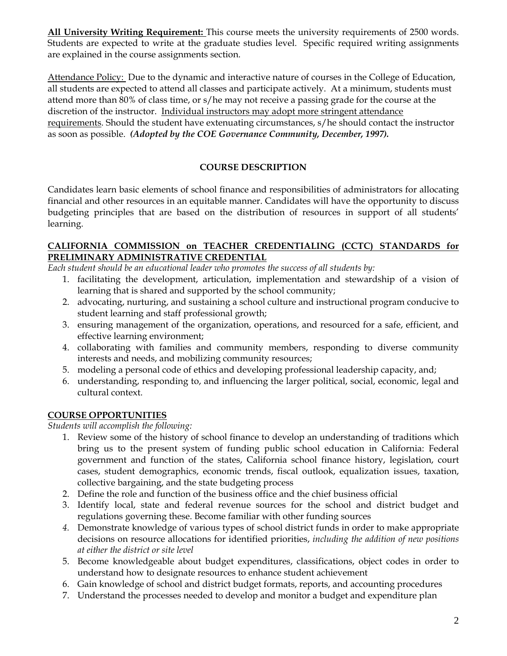**All University Writing Requirement:** This course meets the university requirements of 2500 words. Students are expected to write at the graduate studies level. Specific required writing assignments are explained in the course assignments section.

Attendance Policy: Due to the dynamic and interactive nature of courses in the College of Education, all students are expected to attend all classes and participate actively. At a minimum, students must attend more than 80% of class time, or s/he may not receive a passing grade for the course at the discretion of the instructor. Individual instructors may adopt more stringent attendance requirements. Should the student have extenuating circumstances, s/he should contact the instructor as soon as possible.*(Adopted by the COE Governance Community, December, 1997).*

## **COURSE DESCRIPTION**

Candidates learn basic elements of school finance and responsibilities of administrators for allocating financial and other resources in an equitable manner. Candidates will have the opportunity to discuss budgeting principles that are based on the distribution of resources in support of all students' learning.

#### **CALIFORNIA COMMISSION on TEACHER CREDENTIALING (CCTC) STANDARDS for PRELIMINARY ADMINISTRATIVE CREDENTIAL**

*Each student should be an educational leader who promotes the success of all students by:* 

- 1. facilitating the development, articulation, implementation and stewardship of a vision of learning that is shared and supported by the school community;
- 2. advocating, nurturing, and sustaining a school culture and instructional program conducive to student learning and staff professional growth;
- 3. ensuring management of the organization, operations, and resourced for a safe, efficient, and effective learning environment;
- 4. collaborating with families and community members, responding to diverse community interests and needs, and mobilizing community resources;
- 5. modeling a personal code of ethics and developing professional leadership capacity, and;
- 6. understanding, responding to, and influencing the larger political, social, economic, legal and cultural context.

# **COURSE OPPORTUNITIES**

*Students will accomplish the following:* 

- 1. Review some of the history of school finance to develop an understanding of traditions which bring us to the present system of funding public school education in California: Federal government and function of the states, California school finance history, legislation, court cases, student demographics, economic trends, fiscal outlook, equalization issues, taxation, collective bargaining, and the state budgeting process
- 2. Define the role and function of the business office and the chief business official
- 3. Identify local, state and federal revenue sources for the school and district budget and regulations governing these. Become familiar with other funding sources
- *4.* Demonstrate knowledge of various types of school district funds in order to make appropriate decisions on resource allocations for identified priorities, *including the addition of new positions at either the district or site level*
- 5. Become knowledgeable about budget expenditures, classifications, object codes in order to understand how to designate resources to enhance student achievement
- 6. Gain knowledge of school and district budget formats, reports, and accounting procedures
- 7. Understand the processes needed to develop and monitor a budget and expenditure plan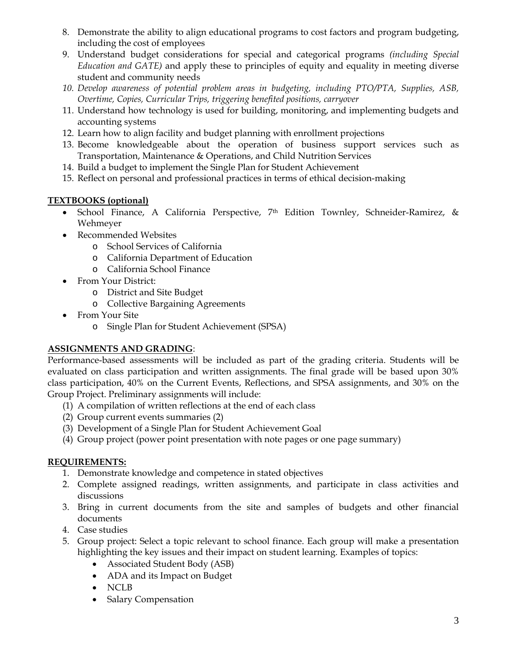- 8. Demonstrate the ability to align educational programs to cost factors and program budgeting, including the cost of employees
- 9. Understand budget considerations for special and categorical programs *(including Special Education and GATE)* and apply these to principles of equity and equality in meeting diverse student and community needs
- *10. Develop awareness of potential problem areas in budgeting, including PTO/PTA, Supplies, ASB, Overtime, Copies, Curricular Trips, triggering benefited positions, carryover*
- 11. Understand how technology is used for building, monitoring, and implementing budgets and accounting systems
- 12. Learn how to align facility and budget planning with enrollment projections
- 13. Become knowledgeable about the operation of business support services such as Transportation, Maintenance & Operations, and Child Nutrition Services
- 14. Build a budget to implement the Single Plan for Student Achievement
- 15. Reflect on personal and professional practices in terms of ethical decision-making

# **TEXTBOOKS (optional)**

- School Finance, A California Perspective, 7th Edition Townley, Schneider-Ramirez, & Wehmeyer
- Recommended Websites
	- o School Services of California
	- o California Department of Education
	- o California School Finance
- From Your District:
	- o District and Site Budget
	- o Collective Bargaining Agreements
- From Your Site
	- o Single Plan for Student Achievement (SPSA)

# **ASSIGNMENTS AND GRADING**:

Performance-based assessments will be included as part of the grading criteria. Students will be evaluated on class participation and written assignments. The final grade will be based upon 30% class participation, 40% on the Current Events, Reflections, and SPSA assignments, and 30% on the Group Project. Preliminary assignments will include:

- (1) A compilation of written reflections at the end of each class
- (2) Group current events summaries (2)
- (3) Development of a Single Plan for Student Achievement Goal
- (4) Group project (power point presentation with note pages or one page summary)

### **REQUIREMENTS:**

- 1. Demonstrate knowledge and competence in stated objectives
- 2. Complete assigned readings, written assignments, and participate in class activities and discussions
- 3. Bring in current documents from the site and samples of budgets and other financial documents
- 4. Case studies
- 5. Group project: Select a topic relevant to school finance. Each group will make a presentation highlighting the key issues and their impact on student learning. Examples of topics:
	- Associated Student Body (ASB)
	- ADA and its Impact on Budget
	- NCLB
	- Salary Compensation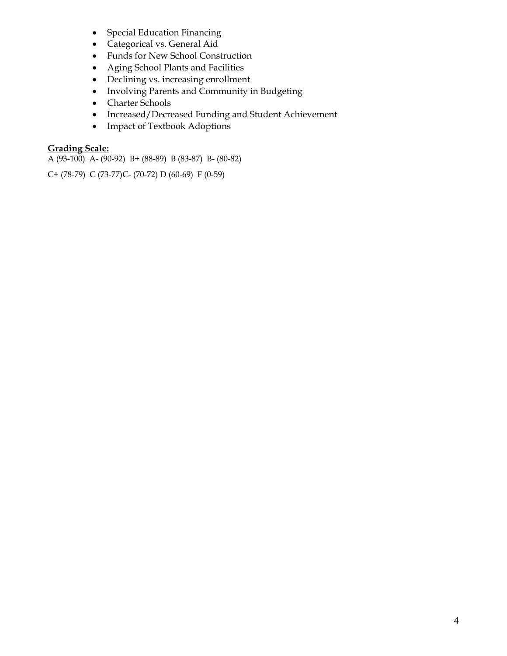- Special Education Financing
- Categorical vs. General Aid
- Funds for New School Construction
- Aging School Plants and Facilities
- Declining vs. increasing enrollment
- Involving Parents and Community in Budgeting
- Charter Schools
- Increased/Decreased Funding and Student Achievement
- Impact of Textbook Adoptions

# **Grading Scale:**

A (93-100) A- (90-92) B+ (88-89) B (83-87) B- (80-82)

C+ (78-79) C (73-77)C- (70-72) D (60-69) F (0-59)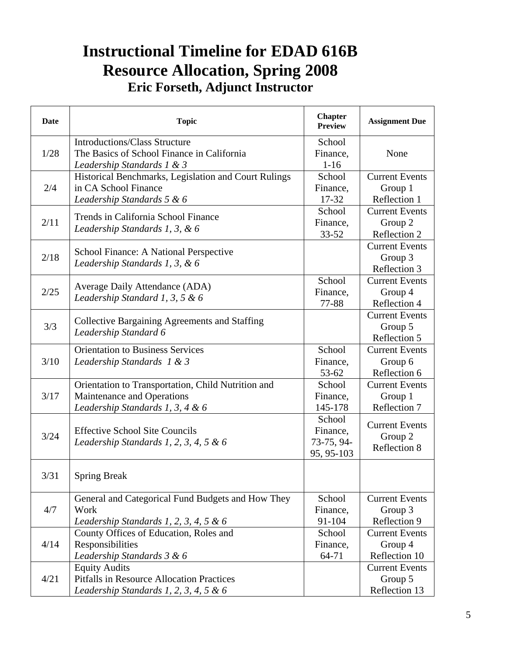# **Instructional Timeline for EDAD 616B Resource Allocation, Spring 2008 Eric Forseth, Adjunct Instructor**

| Date | <b>Topic</b>                                                                                                          | <b>Chapter</b><br><b>Preview</b>               | <b>Assignment Due</b>                             |
|------|-----------------------------------------------------------------------------------------------------------------------|------------------------------------------------|---------------------------------------------------|
| 1/28 | <b>Introductions/Class Structure</b><br>The Basics of School Finance in California<br>Leadership Standards 1 & 3      | School<br>Finance,<br>$1 - 16$                 | None                                              |
| 2/4  | Historical Benchmarks, Legislation and Court Rulings<br>in CA School Finance<br>Leadership Standards 5 & 6            | School<br>Finance,<br>17-32                    | <b>Current Events</b><br>Group 1<br>Reflection 1  |
| 2/11 | Trends in California School Finance<br>Leadership Standards 1, 3, & 6                                                 | School<br>Finance,<br>$33 - 52$                | <b>Current Events</b><br>Group 2<br>Reflection 2  |
| 2/18 | School Finance: A National Perspective<br>Leadership Standards 1, 3, & 6                                              |                                                | <b>Current Events</b><br>Group 3<br>Reflection 3  |
| 2/25 | Average Daily Attendance (ADA)<br>Leadership Standard 1, 3, 5 & 6                                                     | School<br>Finance,<br>77-88                    | <b>Current Events</b><br>Group 4<br>Reflection 4  |
| 3/3  | <b>Collective Bargaining Agreements and Staffing</b><br>Leadership Standard 6                                         |                                                | <b>Current Events</b><br>Group 5<br>Reflection 5  |
| 3/10 | <b>Orientation to Business Services</b><br>Leadership Standards 1 & 3                                                 | School<br>Finance,<br>53-62                    | <b>Current Events</b><br>Group 6<br>Reflection 6  |
| 3/17 | Orientation to Transportation, Child Nutrition and<br>Maintenance and Operations<br>Leadership Standards 1, 3, 4 & 6  | School<br>Finance,<br>145-178                  | <b>Current Events</b><br>Group 1<br>Reflection 7  |
| 3/24 | <b>Effective School Site Councils</b><br>Leadership Standards 1, 2, 3, 4, 5 $&6$                                      | School<br>Finance,<br>73-75, 94-<br>95, 95-103 | <b>Current Events</b><br>Group 2<br>Reflection 8  |
| 3/31 | <b>Spring Break</b>                                                                                                   |                                                |                                                   |
| 4/7  | General and Categorical Fund Budgets and How They<br>Work<br>Leadership Standards 1, 2, 3, 4, 5 & 6                   | School<br>Finance,<br>91-104                   | <b>Current Events</b><br>Group 3<br>Reflection 9  |
| 4/14 | County Offices of Education, Roles and<br>Responsibilities<br>Leadership Standards 3 & 6                              | School<br>Finance,<br>64-71                    | <b>Current Events</b><br>Group 4<br>Reflection 10 |
| 4/21 | <b>Equity Audits</b><br><b>Pitfalls in Resource Allocation Practices</b><br>Leadership Standards 1, 2, 3, 4, 5 $\&$ 6 |                                                | <b>Current Events</b><br>Group 5<br>Reflection 13 |